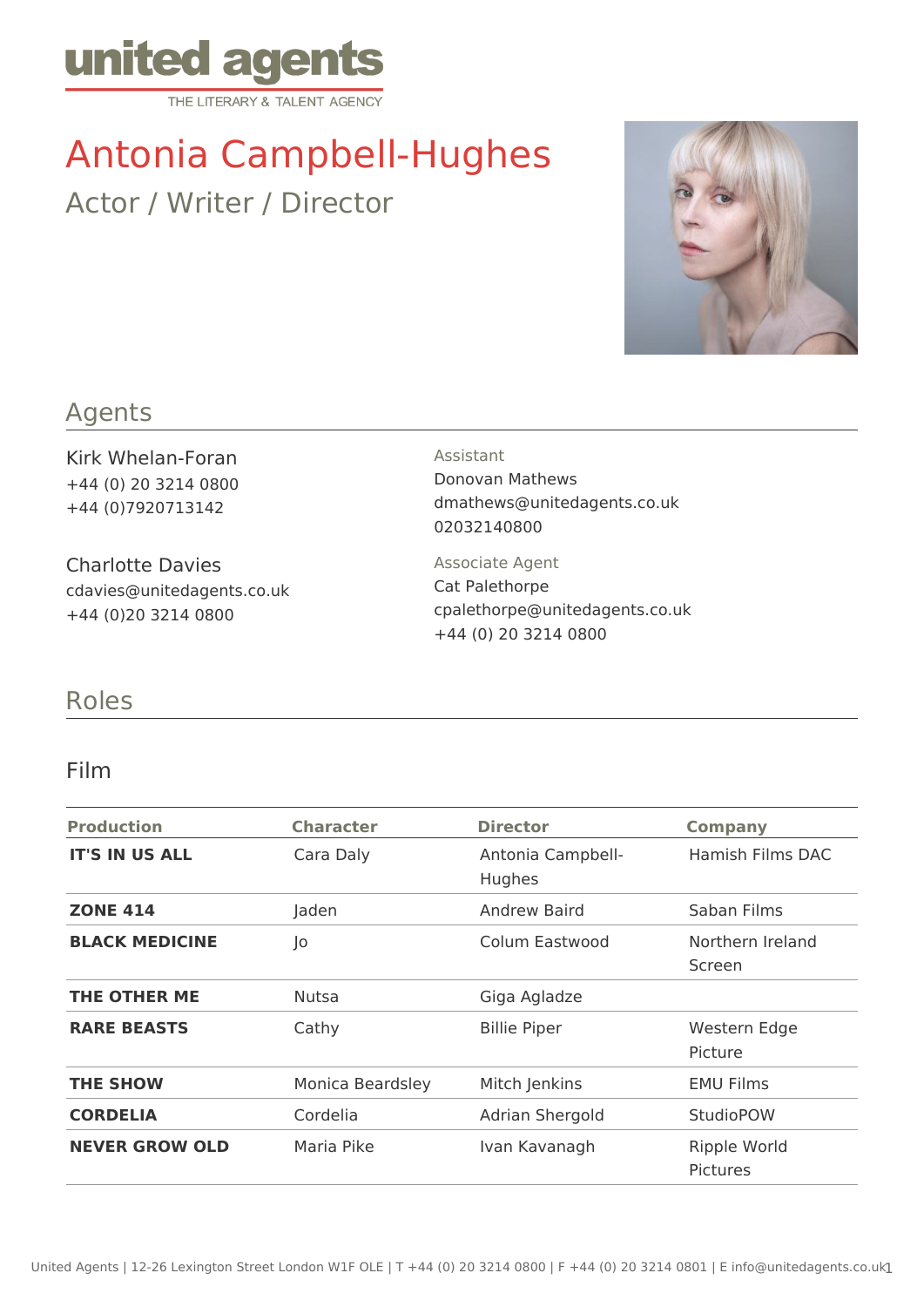

# Antonia Campbell-Hughes

Actor / Writer / Director



## Agents

Kirk Whelan-Foran +44 (0) 20 3214 0800 +44 (0)7920713142

Charlotte Davies cdavies@unitedagents.co.uk +44 (0)20 3214 0800

#### Assistant

Donovan Mathews dmathews@unitedagents.co.uk 02032140800

Associate Agent Cat Palethorpe cpalethorpe@unitedagents.co.uk +44 (0) 20 3214 0800

## Roles

### Film

| <b>Production</b>     | <b>Character</b> | <b>Director</b>             | <b>Company</b>                         |
|-----------------------|------------------|-----------------------------|----------------------------------------|
| <b>IT'S IN US ALL</b> | Cara Daly        | Antonia Campbell-<br>Hughes | Hamish Films DAC                       |
| <b>ZONE 414</b>       | Jaden            | Andrew Baird                | Saban Films                            |
| <b>BLACK MEDICINE</b> | Jo               | Colum Eastwood              | Northern Ireland<br>Screen             |
| THE OTHER ME          | <b>Nutsa</b>     | Giga Agladze                |                                        |
| <b>RARE BEASTS</b>    | Cathy            | <b>Billie Piper</b>         | Western Edge<br>Picture                |
| <b>THE SHOW</b>       | Monica Beardsley | Mitch Jenkins               | <b>EMU Films</b>                       |
| <b>CORDELIA</b>       | Cordelia         | Adrian Shergold             | <b>StudioPOW</b>                       |
| <b>NEVER GROW OLD</b> | Maria Pike       | Ivan Kavanagh               | <b>Ripple World</b><br><b>Pictures</b> |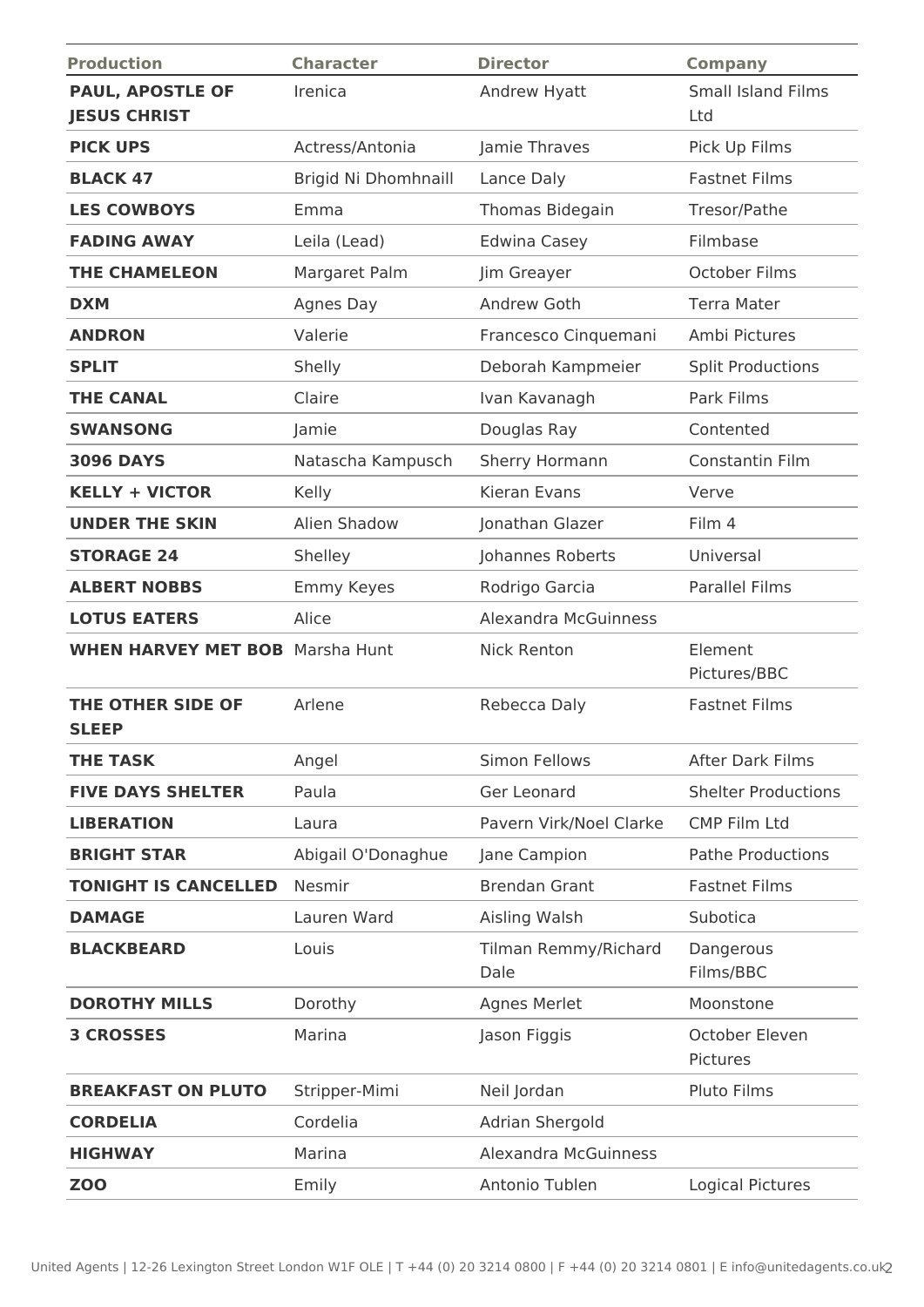| <b>Production</b>                              | <b>Character</b>     | <b>Director</b>              | <b>Company</b>                   |
|------------------------------------------------|----------------------|------------------------------|----------------------------------|
| <b>PAUL, APOSTLE OF</b><br><b>JESUS CHRIST</b> | Irenica              | Andrew Hyatt                 | <b>Small Island Films</b><br>Ltd |
| <b>PICK UPS</b>                                | Actress/Antonia      | Jamie Thraves                | Pick Up Films                    |
| <b>BLACK 47</b>                                | Brigid Ni Dhomhnaill | Lance Daly                   | <b>Fastnet Films</b>             |
| <b>LES COWBOYS</b>                             | Emma                 | Thomas Bidegain              | Tresor/Pathe                     |
| <b>FADING AWAY</b>                             | Leila (Lead)         | <b>Edwina Casey</b>          | Filmbase                         |
| <b>THE CHAMELEON</b>                           | Margaret Palm        | Jim Greayer                  | October Films                    |
| <b>DXM</b>                                     | Agnes Day            | Andrew Goth                  | <b>Terra Mater</b>               |
| <b>ANDRON</b>                                  | Valerie              | Francesco Cinquemani         | Ambi Pictures                    |
| <b>SPLIT</b>                                   | Shelly               | Deborah Kampmeier            | <b>Split Productions</b>         |
| <b>THE CANAL</b>                               | Claire               | Ivan Kavanagh                | Park Films                       |
| <b>SWANSONG</b>                                | Jamie                | Douglas Ray                  | Contented                        |
| <b>3096 DAYS</b>                               | Natascha Kampusch    | Sherry Hormann               | Constantin Film                  |
| <b>KELLY + VICTOR</b>                          | Kelly                | Kieran Evans                 | Verve                            |
| <b>UNDER THE SKIN</b>                          | Alien Shadow         | Jonathan Glazer              | Film 4                           |
| <b>STORAGE 24</b>                              | Shelley              | Johannes Roberts             | Universal                        |
| <b>ALBERT NOBBS</b>                            | <b>Emmy Keyes</b>    | Rodrigo Garcia               | <b>Parallel Films</b>            |
| <b>LOTUS EATERS</b>                            | Alice                | <b>Alexandra McGuinness</b>  |                                  |
| <b>WHEN HARVEY MET BOB</b> Marsha Hunt         |                      | <b>Nick Renton</b>           | Element<br>Pictures/BBC          |
| THE OTHER SIDE OF<br><b>SLEEP</b>              | Arlene               | Rebecca Daly                 | <b>Fastnet Films</b>             |
| <b>THE TASK</b>                                | Angel                | Simon Fellows                | <b>After Dark Films</b>          |
| <b>FIVE DAYS SHELTER</b>                       | Paula                | Ger Leonard                  | <b>Shelter Productions</b>       |
| <b>LIBERATION</b>                              | Laura                | Pavern Virk/Noel Clarke      | <b>CMP Film Ltd</b>              |
| <b>BRIGHT STAR</b>                             | Abigail O'Donaghue   | Jane Campion                 | <b>Pathe Productions</b>         |
| <b>TONIGHT IS CANCELLED</b>                    | Nesmir               | <b>Brendan Grant</b>         | <b>Fastnet Films</b>             |
| <b>DAMAGE</b>                                  | Lauren Ward          | Aisling Walsh                | Subotica                         |
| <b>BLACKBEARD</b>                              | Louis                | Tilman Remmy/Richard<br>Dale | Dangerous<br>Films/BBC           |
| <b>DOROTHY MILLS</b>                           | Dorothy              | Agnes Merlet                 | Moonstone                        |
| <b>3 CROSSES</b>                               | Marina               | Jason Figgis                 | October Eleven<br>Pictures       |
| <b>BREAKFAST ON PLUTO</b>                      | Stripper-Mimi        | Neil Jordan                  | Pluto Films                      |
| <b>CORDELIA</b>                                | Cordelia             | Adrian Shergold              |                                  |
| <b>HIGHWAY</b>                                 | Marina               | <b>Alexandra McGuinness</b>  |                                  |
| <b>ZOO</b>                                     | Emily                | Antonio Tublen               | <b>Logical Pictures</b>          |